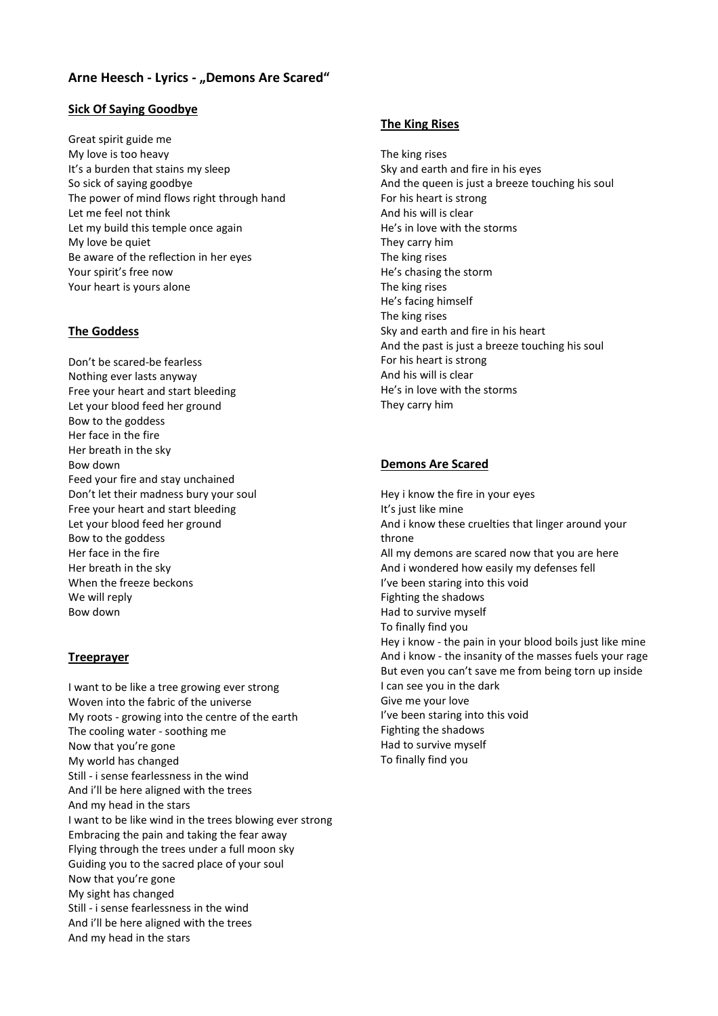# **Arne Heesch - Lyrics - "Demons Are Scared"**

## **Sick Of Saying Goodbye**

Great spirit guide me My love is too heavy It's a burden that stains my sleep So sick of saying goodbye The power of mind flows right through hand Let me feel not think Let my build this temple once again My love be quiet Be aware of the reflection in her eyes Your spirit's free now Your heart is yours alone

## **The Goddess**

Don't be scared-be fearless Nothing ever lasts anyway Free your heart and start bleeding Let your blood feed her ground Bow to the goddess Her face in the fire Her breath in the sky Bow down Feed your fire and stay unchained Don't let their madness bury your soul Free your heart and start bleeding Let your blood feed her ground Bow to the goddess Her face in the fire Her breath in the sky When the freeze beckons We will reply Bow down

#### **Treeprayer**

I want to be like a tree growing ever strong Woven into the fabric of the universe My roots - growing into the centre of the earth The cooling water - soothing me Now that you're gone My world has changed Still - i sense fearlessness in the wind And i'll be here aligned with the trees And my head in the stars I want to be like wind in the trees blowing ever strong Embracing the pain and taking the fear away Flying through the trees under a full moon sky Guiding you to the sacred place of your soul Now that you're gone My sight has changed Still - i sense fearlessness in the wind And i'll be here aligned with the trees And my head in the stars

## **The King Rises**

The king rises Sky and earth and fire in his eyes And the queen is just a breeze touching his soul For his heart is strong And his will is clear He's in love with the storms They carry him The king rises He's chasing the storm The king rises He's facing himself The king rises Sky and earth and fire in his heart And the past is just a breeze touching his soul For his heart is strong And his will is clear He's in love with the storms They carry him

#### **Demons Are Scared**

Hey i know the fire in your eyes It's just like mine And i know these cruelties that linger around your throne All my demons are scared now that you are here And i wondered how easily my defenses fell I've been staring into this void Fighting the shadows Had to survive myself To finally find you Hey i know - the pain in your blood boils just like mine And i know - the insanity of the masses fuels your rage But even you can't save me from being torn up inside I can see you in the dark Give me your love I've been staring into this void Fighting the shadows Had to survive myself To finally find you